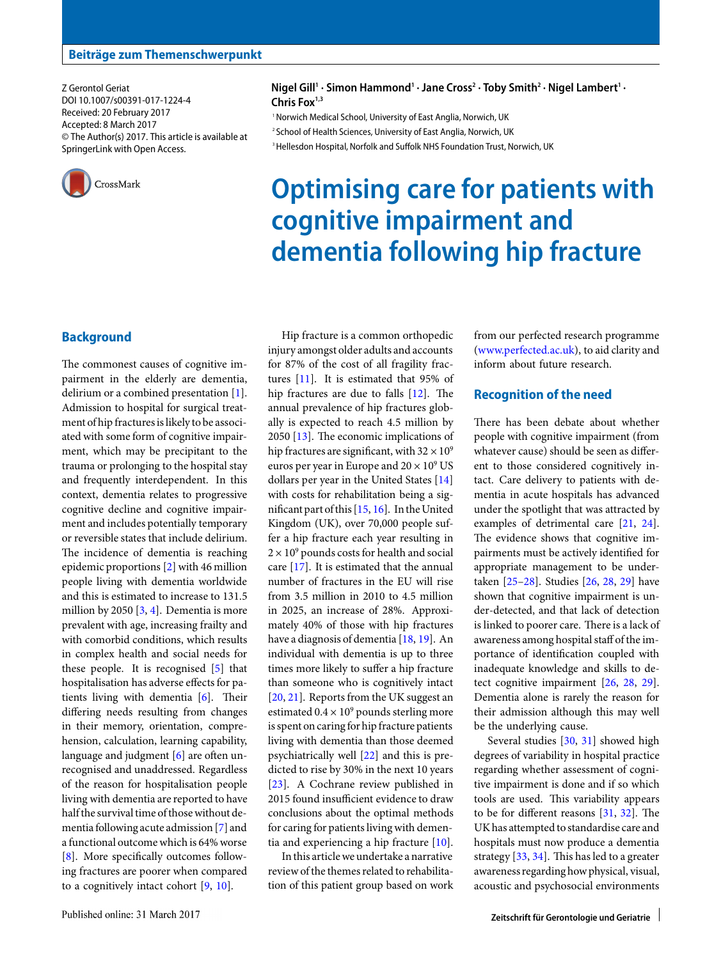Z Gerontol Geriat DOI 10.1007/s00391-017-1224-4 Received: 20 February 2017 Accepted: 8 March 2017 © The Author(s) 2017. This article is available at SpringerLink with Open Access.



 $N$ igel Gill<sup>1</sup> · Simon Hammond<sup>1</sup> · Jane Cross<sup>2</sup> · Toby Smith<sup>2</sup> · Nigel Lambert<sup>1</sup> · **Chris Fox1,3**

1 Norwich Medical School, University of East Anglia, Norwich, UK 2 School of Health Sciences, University of East Anglia, Norwich, UK

<sup>3</sup> Hellesdon Hospital, Norfolk and Suffolk NHS Foundation Trust, Norwich, UK

# **Optimising care for patients with cognitive impairment and dementia following hip fracture**

# **Background**

The commonest causes of cognitive impairment in the elderly are dementia, delirium or a combined presentation [\[1\]](#page-3-0). Admission to hospital for surgical treatment of hip fractures is likely to be associated with some form of cognitive impairment, which may be precipitant to the trauma or prolonging to the hospital stay and frequently interdependent. In this context, dementia relates to progressive cognitive decline and cognitive impairment and includes potentially temporary or reversible states that include delirium. The incidence of dementia is reaching epidemic proportions [\[2\]](#page-3-1) with 46 million people living with dementia worldwide and this is estimated to increase to 131.5 million by 2050 [\[3,](#page-3-2) [4\]](#page-3-3). Dementia is more prevalent with age, increasing frailty and with comorbid conditions, which results in complex health and social needs for these people. It is recognised [\[5\]](#page-3-4) that hospitalisation has adverse effects for patients living with dementia [\[6\]](#page-3-5). Their differing needs resulting from changes in their memory, orientation, comprehension, calculation, learning capability, language and judgment [\[6\]](#page-3-5) are often unrecognised and unaddressed. Regardless of the reason for hospitalisation people living with dementia are reported to have half the survival time of those without dementiafollowing acute admission [\[7\]](#page-3-6) and a functional outcome which is 64% worse [\[8\]](#page-3-7). More specifically outcomes following fractures are poorer when compared to a cognitively intact cohort [\[9,](#page-3-8) [10\]](#page-3-9).

for 87% of the cost of all fragility fractures [\[11\]](#page-3-10). It is estimated that 95% of hip fractures are due to falls [\[12\]](#page-3-11). The annual prevalence of hip fractures globally is expected to reach 4.5 million by 2050 [\[13\]](#page-3-12). The economic implications of hip fractures are significant, with  $32 \times 10^9$ euros per year in Europe and  $20 \times 10^9$  US dollars per year in the United States [\[14\]](#page-3-13) with costs for rehabilitation being a significant part of this [\[15,](#page-3-14) [16\]](#page-3-15). In the United Kingdom (UK), over 70,000 people suffer a hip fracture each year resulting in  $2 \times 10^9$  pounds costs for health and social care [\[17\]](#page-3-16). It is estimated that the annual number of fractures in the EU will rise from 3.5 million in 2010 to 4.5 million in 2025, an increase of 28%. Approximately 40% of those with hip fractures have a diagnosis of dementia [\[18,](#page-3-17) [19\]](#page-3-18). An individual with dementia is up to three times more likely to suffer a hip fracture than someone who is cognitively intact [\[20,](#page-3-19) [21\]](#page-3-20). Reports from the UK suggest an estimated  $0.4 \times 10^9$  pounds sterling more is spent on caring for hip fracture patients living with dementia than those deemed psychiatrically well [\[22\]](#page-3-21) and this is predicted to rise by 30% in the next 10 years [\[23\]](#page-3-22). A Cochrane review published in 2015 found insufficient evidence to draw conclusions about the optimal methods for caring for patients living with dementia and experiencing a hip fracture [\[10\]](#page-3-9).

Hip fracture is a common orthopedic injury amongst older adults and accounts

In this article we undertake a narrative review of the themes related to rehabilitation of this patient group based on work from our perfected research programme [\(www.perfected.ac.uk\)](http://www.perfected.ac.uk), to aid clarity and inform about future research.

## **Recognition of the need**

There has been debate about whether people with cognitive impairment (from whatever cause) should be seen as different to those considered cognitively intact. Care delivery to patients with dementia in acute hospitals has advanced under the spotlight that was attracted by examples of detrimental care [\[21,](#page-3-20) [24\]](#page-3-23). The evidence shows that cognitive impairments must be actively identified for appropriate management to be undertaken [\[25](#page-3-24)[–28\]](#page-3-25). Studies [\[26,](#page-3-26) [28,](#page-3-25) [29\]](#page-3-27) have shown that cognitive impairment is under-detected, and that lack of detection is linked to poorer care. There is a lack of awareness among hospital staff of the importance of identification coupled with inadequate knowledge and skills to detect cognitive impairment [\[26,](#page-3-26) [28,](#page-3-25) [29\]](#page-3-27). Dementia alone is rarely the reason for their admission although this may well be the underlying cause.

Several studies [\[30,](#page-3-28) [31\]](#page-4-0) showed high degrees of variability in hospital practice regarding whether assessment of cognitive impairment is done and if so which tools are used. This variability appears to be for different reasons [\[31,](#page-4-0) [32\]](#page-4-1). The UK has attempted to standardise care and hospitals must now produce a dementia strategy [\[33,](#page-4-2) [34\]](#page-4-3). This has led to a greater awareness regarding how physical, visual, acoustic and psychosocial environments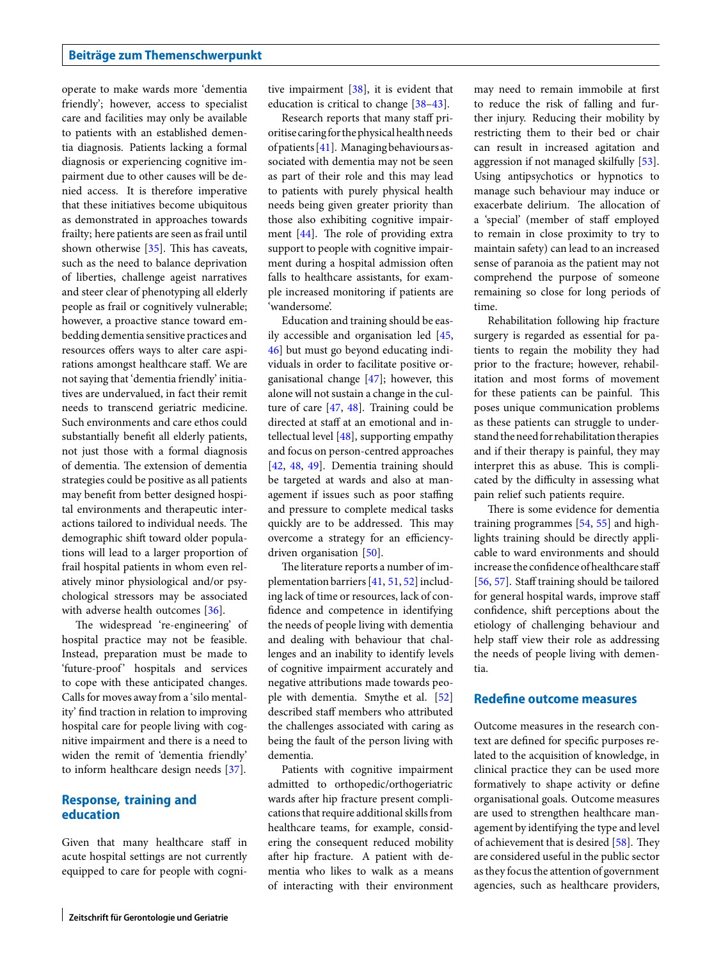operate to make wards more 'dementia friendly'; however, access to specialist care and facilities may only be available to patients with an established dementia diagnosis. Patients lacking a formal diagnosis or experiencing cognitive impairment due to other causes will be denied access. It is therefore imperative that these initiatives become ubiquitous as demonstrated in approaches towards frailty; here patients are seen as frail until shown otherwise [\[35\]](#page-4-4). This has caveats, such as the need to balance deprivation of liberties, challenge ageist narratives and steer clear of phenotyping all elderly people as frail or cognitively vulnerable; however, a proactive stance toward embedding dementia sensitive practices and resources offers ways to alter care aspirations amongst healthcare staff. We are not saying that 'dementia friendly' initiatives are undervalued, in fact their remit needs to transcend geriatric medicine. Such environments and care ethos could substantially benefit all elderly patients, not just those with a formal diagnosis of dementia. The extension of dementia strategies could be positive as all patients may benefit from better designed hospital environments and therapeutic interactions tailored to individual needs. The demographic shift toward older populations will lead to a larger proportion of frail hospital patients in whom even relatively minor physiological and/or psychological stressors may be associated with adverse health outcomes [\[36\]](#page-4-5).

The widespread 're-engineering' of hospital practice may not be feasible. Instead, preparation must be made to 'future-proof' hospitals and services to cope with these anticipated changes. Calls for moves away from a 'silo mentality' find traction in relation to improving hospital care for people living with cognitive impairment and there is a need to widen the remit of 'dementia friendly' to inform healthcare design needs [\[37\]](#page-4-6).

#### **Response, training and education**

Given that many healthcare staff in acute hospital settings are not currently equipped to care for people with cognitive impairment [\[38\]](#page-4-7), it is evident that education is critical to change [\[38–](#page-4-7)[43\]](#page-4-8).

Research reports that many staff prioritisecaringfor the physical healthneeds of patients [\[41\]](#page-4-9). Managing behaviours associated with dementia may not be seen as part of their role and this may lead to patients with purely physical health needs being given greater priority than those also exhibiting cognitive impairment [\[44\]](#page-4-10). The role of providing extra support to people with cognitive impairment during a hospital admission often falls to healthcare assistants, for example increased monitoring if patients are 'wandersome'.

Education and training should be easily accessible and organisation led [\[45,](#page-4-11) [46\]](#page-4-12) but must go beyond educating individuals in order to facilitate positive organisational change [\[47\]](#page-4-13); however, this alone will not sustain a change in the culture of care [\[47,](#page-4-13) [48\]](#page-4-14). Training could be directed at staff at an emotional and intellectual level [\[48\]](#page-4-14), supporting empathy and focus on person-centred approaches [\[42,](#page-4-15) [48,](#page-4-14) [49\]](#page-4-16). Dementia training should be targeted at wards and also at management if issues such as poor staffing and pressure to complete medical tasks quickly are to be addressed. This may overcome a strategy for an efficiency-driven organisation [\[50\]](#page-4-17).

The literature reports a number of implementation barriers [\[41,](#page-4-9) [51,](#page-4-18) [52\]](#page-4-19) including lack of time or resources, lack of confidence and competence in identifying the needs of people living with dementia and dealing with behaviour that challenges and an inability to identify levels of cognitive impairment accurately and negative attributions made towards people with dementia. Smythe et al. [\[52\]](#page-4-19) described staff members who attributed the challenges associated with caring as being the fault of the person living with dementia.

Patients with cognitive impairment admitted to orthopedic/orthogeriatric wards after hip fracture present complications that require additional skills from healthcare teams, for example, considering the consequent reduced mobility after hip fracture. A patient with dementia who likes to walk as a means of interacting with their environment may need to remain immobile at first to reduce the risk of falling and further injury. Reducing their mobility by restricting them to their bed or chair can result in increased agitation and aggression if not managed skilfully [\[53\]](#page-4-20). Using antipsychotics or hypnotics to manage such behaviour may induce or exacerbate delirium. The allocation of a 'special' (member of staff employed to remain in close proximity to try to maintain safety) can lead to an increased sense of paranoia as the patient may not comprehend the purpose of someone remaining so close for long periods of time.

Rehabilitation following hip fracture surgery is regarded as essential for patients to regain the mobility they had prior to the fracture; however, rehabilitation and most forms of movement for these patients can be painful. This poses unique communication problems as these patients can struggle to understand the need for rehabilitation therapies and if their therapy is painful, they may interpret this as abuse. This is complicated by the difficulty in assessing what pain relief such patients require.

There is some evidence for dementia training programmes [\[54,](#page-4-21) [55\]](#page-4-22) and highlights training should be directly applicable to ward environments and should increase the confidence of healthcare staff [\[56,](#page-4-23) [57\]](#page-4-24). Staff training should be tailored for general hospital wards, improve staff confidence, shift perceptions about the etiology of challenging behaviour and help staff view their role as addressing the needs of people living with dementia.

# **Redefine outcome measures**

Outcome measures in the research context are defined for specific purposes related to the acquisition of knowledge, in clinical practice they can be used more formatively to shape activity or define organisational goals. Outcome measures are used to strengthen healthcare management by identifying the type and level of achievement that is desired [\[58\]](#page-4-25). They are considered useful in the public sector as they focus the attention of government agencies, such as healthcare providers,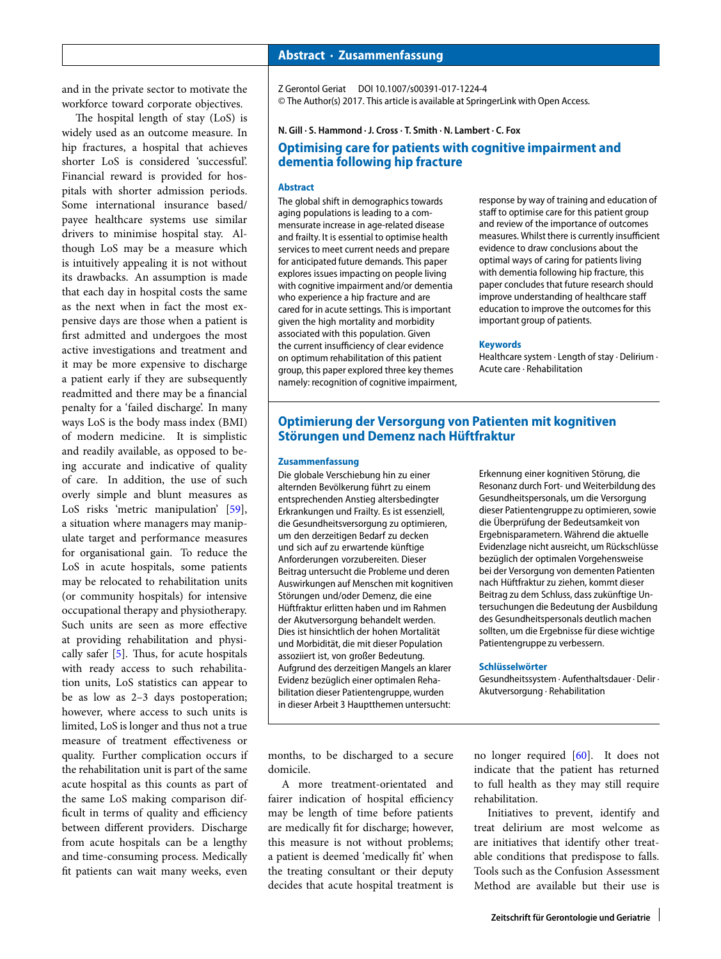and in the private sector to motivate the workforce toward corporate objectives.

The hospital length of stay (LoS) is widely used as an outcome measure. In hip fractures, a hospital that achieves shorter LoS is considered 'successful'. Financial reward is provided for hospitals with shorter admission periods. Some international insurance based/ payee healthcare systems use similar drivers to minimise hospital stay. Although LoS may be a measure which is intuitively appealing it is not without its drawbacks. An assumption is made that each day in hospital costs the same as the next when in fact the most expensive days are those when a patient is first admitted and undergoes the most active investigations and treatment and it may be more expensive to discharge a patient early if they are subsequently readmitted and there may be a financial penalty for a 'failed discharge'. In many ways LoS is the body mass index (BMI) of modern medicine. It is simplistic and readily available, as opposed to being accurate and indicative of quality of care. In addition, the use of such overly simple and blunt measures as LoS risks 'metric manipulation' [\[59\]](#page-4-26), a situation where managers may manipulate target and performance measures for organisational gain. To reduce the LoS in acute hospitals, some patients may be relocated to rehabilitation units (or community hospitals) for intensive occupational therapy and physiotherapy. Such units are seen as more effective at providing rehabilitation and physically safer [\[5\]](#page-3-4). Thus, for acute hospitals with ready access to such rehabilitation units, LoS statistics can appear to be as low as 2–3 days postoperation; however, where access to such units is limited, LoS is longer and thus not a true measure of treatment effectiveness or quality. Further complication occurs if the rehabilitation unit is part of the same acute hospital as this counts as part of the same LoS making comparison difficult in terms of quality and efficiency between different providers. Discharge from acute hospitals can be a lengthy and time-consuming process. Medically fit patients can wait many weeks, even

#### **Abstract · Zusammenfassung**

Z Gerontol Geriat DOI 10.1007/s00391-017-1224-4 © The Author(s) 2017. This article is available at SpringerLink with Open Access.

**N. Gill · S. Hammond · J. Cross · T. Smith · N. Lambert · C. Fox**

# **Optimising care for patients with cognitive impairment and dementia following hip fracture**

#### **Abstract**

The global shift in demographics towards aging populations is leading to a commensurate increase in age-related disease and frailty. It is essential to optimise health services to meet current needs and prepare for anticipated future demands. This paper explores issues impacting on people living with cognitive impairment and/or dementia who experience a hip fracture and are cared for in acute settings. This is important given the high mortality and morbidity associated with this population. Given the current insufficiency of clear evidence on optimum rehabilitation of this patient group, this paper explored three key themes namely: recognition of cognitive impairment, response by way of training and education of staff to optimise care for this patient group and review of the importance of outcomes measures. Whilst there is currently insufficient evidence to draw conclusions about the optimal ways of caring for patients living with dementia following hip fracture, this paper concludes that future research should improve understanding of healthcare staff education to improve the outcomes for this important group of patients.

#### **Keywords**

Healthcare system · Length of stay · Delirium · Acute care · Rehabilitation

## **Optimierung der Versorgung von Patienten mit kognitiven Störungen und Demenz nach Hüftfraktur**

#### **Zusammenfassung**

Die globale Verschiebung hin zu einer alternden Bevölkerung führt zu einem entsprechenden Anstieg altersbedingter Erkrankungen und Frailty. Es ist essenziell, die Gesundheitsversorgung zu optimieren, um den derzeitigen Bedarf zu decken und sich auf zu erwartende künftige Anforderungen vorzubereiten. Dieser Beitrag untersucht die Probleme und deren Auswirkungen auf Menschen mit kognitiven Störungen und/oder Demenz, die eine Hüftfraktur erlitten haben und im Rahmen der Akutversorgung behandelt werden. Dies ist hinsichtlich der hohen Mortalität und Morbidität, die mit dieser Population assoziiert ist, von großer Bedeutung. Aufgrund des derzeitigen Mangels an klarer Evidenz bezüglich einer optimalen Rehabilitation dieser Patientengruppe, wurden in dieser Arbeit 3 Hauptthemen untersucht:

Erkennung einer kognitiven Störung, die Resonanz durch Fort- und Weiterbildung des Gesundheitspersonals, um die Versorgung dieser Patientengruppe zu optimieren, sowie die Überprüfung der Bedeutsamkeit von Ergebnisparametern. Während die aktuelle Evidenzlage nicht ausreicht, um Rückschlüsse bezüglich der optimalen Vorgehensweise bei der Versorgung von dementen Patienten nach Hüftfraktur zu ziehen, kommt dieser Beitrag zu dem Schluss, dass zukünftige Untersuchungen die Bedeutung der Ausbildung des Gesundheitspersonals deutlich machen sollten, um die Ergebnisse für diese wichtige Patientengruppe zu verbessern.

#### **Schlüsselwörter**

Gesundheitssystem · Aufenthaltsdauer · Delir · Akutversorgung · Rehabilitation

months, to be discharged to a secure domicile.

A more treatment-orientated and fairer indication of hospital efficiency may be length of time before patients are medically fit for discharge; however, this measure is not without problems; a patient is deemed 'medically fit' when the treating consultant or their deputy decides that acute hospital treatment is

no longer required [\[60\]](#page-4-27). It does not indicate that the patient has returned to full health as they may still require rehabilitation.

Initiatives to prevent, identify and treat delirium are most welcome as are initiatives that identify other treatable conditions that predispose to falls. Tools such as the Confusion Assessment Method are available but their use is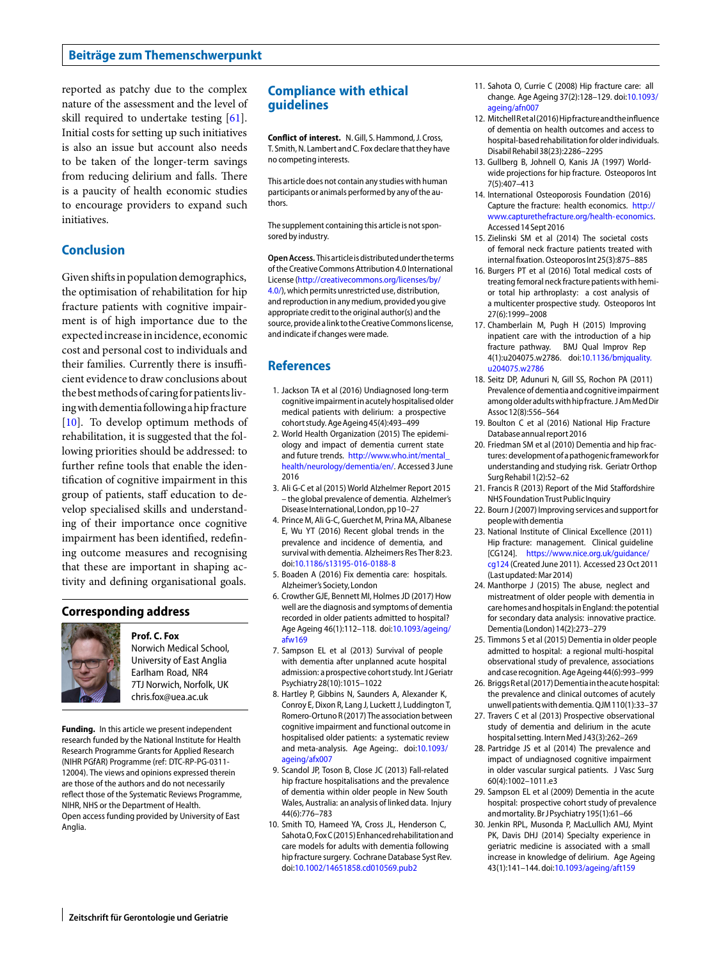#### **Beiträge zum Themenschwerpunkt**

reported as patchy due to the complex nature of the assessment and the level of skill required to undertake testing [\[61\]](#page-4-28). Initial costs for setting up such initiatives is also an issue but account also needs to be taken of the longer-term savings from reducing delirium and falls. There is a paucity of health economic studies to encourage providers to expand such initiatives.

## **Conclusion**

Given shiftsin population demographics, the optimisation of rehabilitation for hip fracture patients with cognitive impairment is of high importance due to the expectedincreaseinincidence, economic cost and personal cost to individuals and their families. Currently there is insufficient evidence to draw conclusions about the best methods of caring for patients livingwithdementiafollowingahipfracture [\[10\]](#page-3-9). To develop optimum methods of rehabilitation, it is suggested that the following priorities should be addressed: to further refine tools that enable the identification of cognitive impairment in this group of patients, staff education to develop specialised skills and understanding of their importance once cognitive impairment has been identified, redefining outcome measures and recognising that these are important in shaping activity and defining organisational goals.

#### **Corresponding address**



**Prof. C. Fox** Norwich Medical School, University of East Anglia Earlham Road, NR4 7TJ Norwich, Norfolk, UK chris.fox@uea.ac.uk

**Funding.** In this article we present independent research funded by the National Institute for Health Research Programme Grants for Applied Research (NIHR PGfAR) Programme (ref: DTC-RP-PG-0311- 12004). The views and opinions expressed therein are those of the authors and do not necessarily reflect those of the Systematic Reviews Programme, NIHR, NHS or the Department of Health. Open access funding provided by University of East Anglia.

## **Compliance with ethical guidelines**

**Conflict of interest.** N. Gill, S. Hammond, J. Cross, T. Smith, N. Lambert and C. Fox declare that they have no competing interests.

This article does not contain any studies with human participants or animals performed by any of the authors.

The supplement containing this article is not sponsored by industry.

**Open Access.** Thisarticleisdistributedunder the terms of the Creative Commons Attribution 4.0 International License [\(http://creativecommons.org/licenses/by/](http://creativecommons.org/licenses/by/4.0/) [4.0/\)](http://creativecommons.org/licenses/by/4.0/), which permits unrestricted use, distribution, and reproduction in any medium, provided you give appropriate credit to the original author(s) and the source, provide a link to the Creative Commons license, and indicate if changes were made.

#### **References**

- <span id="page-3-0"></span>1. Jackson TA et al (2016) Undiagnosed long-term cognitive impairment in acutely hospitalised older medical patients with delirium: a prospective cohort study. Age Ageing45(4):493–499
- <span id="page-3-1"></span>2. World Health Organization (2015) The epidemiology and impact of dementia current state and future trends. [http://www.who.int/mental\\_](http://www.who.int/mental_health/neurology/dementia/en/) [health/neurology/dementia/en/.](http://www.who.int/mental_health/neurology/dementia/en/) Accessed 3 June 2016
- <span id="page-3-2"></span>3. Ali G-C et al (2015) World AlzheImer Report 2015 – the global prevalence of dementia. AlzheImer's Disease International, London, pp10–27
- <span id="page-3-3"></span>4. Prince M, Ali G-C, Guerchet M, Prina MA, Albanese E, Wu YT (2016) Recent global trends in the prevalence and incidence of dementia, and survival with dementia. Alzheimers Res Ther 8:23. doi[:10.1186/s13195-016-0188-8](http://dx.doi.org/10.1186/s13195-016-0188-8)
- <span id="page-3-4"></span>5. Boaden A (2016) Fix dementia care: hospitals. Alzheimer's Society, London
- <span id="page-3-5"></span>6. Crowther GJE, Bennett MI, Holmes JD (2017) How well are the diagnosis and symptoms of dementia recorded in older patients admitted to hospital? Age Ageing 46(1):112–118. doi[:10.1093/ageing/](http://dx.doi.org/10.1093/ageing/afw169) [afw169](http://dx.doi.org/10.1093/ageing/afw169)
- <span id="page-3-6"></span>7. Sampson EL et al (2013) Survival of people with dementia after unplanned acute hospital admission: a prospective cohort study. Int J Geriatr Psychiatry28(10):1015–1022
- <span id="page-3-7"></span>8. Hartley P, Gibbins N, Saunders A, Alexander K, Conroy E, Dixon R, Lang J, Luckett J, Luddington T, Romero-Ortuno R(2017) The association between cognitive impairment and functional outcome in hospitalised older patients: a systematic review and meta-analysis. Age Ageing:. doi[:10.1093/](http://dx.doi.org/10.1093/ageing/afx007) [ageing/afx007](http://dx.doi.org/10.1093/ageing/afx007)
- <span id="page-3-8"></span>9. Scandol JP, Toson B, Close JC (2013) Fall-related hip fracture hospitalisations and the prevalence of dementia within older people in New South Wales, Australia: an analysis of linked data. Injury 44(6):776–783
- <span id="page-3-9"></span>10. Smith TO, Hameed YA, Cross JL, Henderson C, SahotaO,FoxC(2015)Enhanced rehabilitationand care models for adults with dementia following hip fracture surgery. Cochrane Database Syst Rev. doi[:10.1002/14651858.cd010569.pub2](http://dx.doi.org/10.1002/14651858.cd010569.pub2)
- <span id="page-3-10"></span>11. Sahota O, Currie C (2008) Hip fracture care: all change. Age Ageing 37(2):128–129. doi[:10.1093/](http://dx.doi.org/10.1093/ageing/afn007) [ageing/afn007](http://dx.doi.org/10.1093/ageing/afn007)
- <span id="page-3-11"></span>12. MitchellRetal(2016) Hipfracture and the influence of dementia on health outcomes and access to hospital-based rehabilitation for older individuals. Disabil Rehabil38(23):2286–2295
- <span id="page-3-12"></span>13. Gullberg B, Johnell O, Kanis JA (1997) Worldwide projections for hip fracture. Osteoporos Int 7(5):407–413
- <span id="page-3-13"></span>14. International Osteoporosis Foundation (2016) Capture the fracture: health economics. [http://](http://www.capturethefracture.org/health-economics) [www.capturethefracture.org/health-economics.](http://www.capturethefracture.org/health-economics) Accessed14 Sept2016
- <span id="page-3-14"></span>15. Zielinski SM et al (2014) The societal costs of femoral neck fracture patients treated with internalfixation. Osteoporos Int25(3):875–885
- <span id="page-3-15"></span>16. Burgers PT et al (2016) Total medical costs of treating femoral neck fracture patients with hemior total hip arthroplasty: a cost analysis of a multicenter prospective study. Osteoporos Int 27(6):1999–2008
- <span id="page-3-16"></span>17. Chamberlain M, Pugh H (2015) Improving inpatient care with the introduction of a hip fracture pathway. BMJ Qual Improv Rep 4(1):u204075.w2786. doi[:10.1136/bmjquality.](http://dx.doi.org/10.1136/bmjquality.u204075.w2786) [u204075.w2786](http://dx.doi.org/10.1136/bmjquality.u204075.w2786)
- <span id="page-3-17"></span>18. Seitz DP, Adunuri N, Gill SS, Rochon PA (2011) Prevalence of dementia and cognitive impairment amongolder adultswith hipfracture. JAmMedDir Assoc12(8):556–564
- <span id="page-3-18"></span>19. Boulton C et al (2016) National Hip Fracture Database annual report2016
- <span id="page-3-19"></span>20. Friedman SM et al (2010) Dementia and hip fractures: developmentofa pathogenicframeworkfor understanding and studying risk. Geriatr Orthop Surg Rehabil1(2):52–62
- <span id="page-3-21"></span><span id="page-3-20"></span>21. Francis R (2013) Report of the Mid Staffordshire NHS Foundation Trust Public Inquiry
- 22. Bourn J (2007) Improving services and support for peoplewith dementia
- <span id="page-3-22"></span>23. National Institute of Clinical Excellence (2011) Hip fracture: management. Clinical guideline [CG124]. [https://www.nice.org.uk/guidance/](https://www.nice.org.uk/guidance/cg124) [cg124](https://www.nice.org.uk/guidance/cg124) (Created June 2011). Accessed 23 Oct 2011 (Last updated: Mar2014)
- <span id="page-3-23"></span>24. Manthorpe J (2015) The abuse, neglect and mistreatment of older people with dementia in care homes and hospitals in England: the potential for secondary data analysis: innovative practice. Dementia(London)14(2):273–279
- <span id="page-3-24"></span>25. Timmons S et al (2015) Dementia in older people admitted to hospital: a regional multi-hospital observational study of prevalence, associations and case recognition. Age Ageing44(6):993–999
- <span id="page-3-26"></span>26. Briggs Retal (2017) Dementia in the acute hospital: the prevalence and clinical outcomes of acutely unwell patientswith dementia. QJM110(1):33–37
- 27. Travers C et al (2013) Prospective observational study of dementia and delirium in the acute hospital setting. Intern Med J43(3):262-269
- <span id="page-3-25"></span>28. Partridge JS et al (2014) The prevalence and impact of undiagnosed cognitive impairment in older vascular surgical patients. J Vasc Surg 60(4):1002–1011.e3
- <span id="page-3-27"></span>29. Sampson EL et al (2009) Dementia in the acute hospital: prospective cohort study of prevalence andmortality. Br JPsychiatry195(1):61–66
- <span id="page-3-28"></span>30. Jenkin RPL, Musonda P, MacLullich AMJ, Myint PK, Davis DHJ (2014) Specialty experience in geriatric medicine is associated with a small increase in knowledge of delirium. Age Ageing 43(1):141–144. doi[:10.1093/ageing/aft159](http://dx.doi.org/10.1093/ageing/aft159)